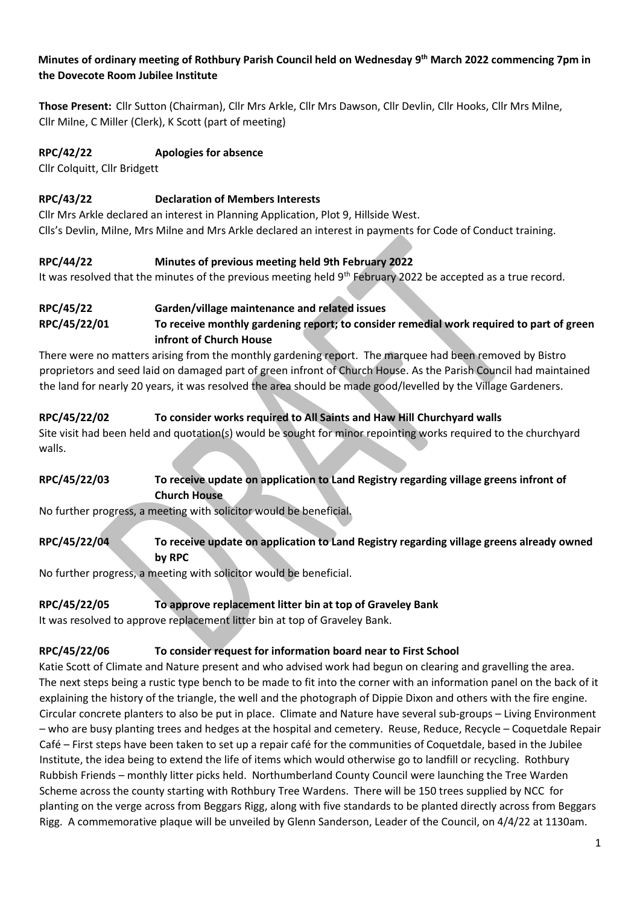#### **Minutes of ordinary meeting of Rothbury Parish Council held on Wednesday 9 th March 2022 commencing 7pm in the Dovecote Room Jubilee Institute**

**Those Present:** Cllr Sutton (Chairman), Cllr Mrs Arkle, Cllr Mrs Dawson, Cllr Devlin, Cllr Hooks, Cllr Mrs Milne, Cllr Milne, C Miller (Clerk), K Scott (part of meeting)

#### **RPC/42/22 Apologies for absence**

Cllr Colquitt, Cllr Bridgett

#### **RPC/43/22 Declaration of Members Interests**

Cllr Mrs Arkle declared an interest in Planning Application, Plot 9, Hillside West. Clls's Devlin, Milne, Mrs Milne and Mrs Arkle declared an interest in payments for Code of Conduct training.

#### **RPC/44/22 Minutes of previous meeting held 9th February 2022**

It was resolved that the minutes of the previous meeting held 9th February 2022 be accepted as a true record.

#### **RPC/45/22 Garden/village maintenance and related issues**

**RPC/45/22/01 To receive monthly gardening report; to consider remedial work required to part of green infront of Church House**

There were no matters arising from the monthly gardening report. The marquee had been removed by Bistro proprietors and seed laid on damaged part of green infront of Church House. As the Parish Council had maintained the land for nearly 20 years, it was resolved the area should be made good/levelled by the Village Gardeners.

#### **RPC/45/22/02 To consider works required to All Saints and Haw Hill Churchyard walls**

Site visit had been held and quotation(s) would be sought for minor repointing works required to the churchyard walls.

#### **RPC/45/22/03 To receive update on application to Land Registry regarding village greens infront of Church House**

No further progress, a meeting with solicitor would be beneficial.

## **RPC/45/22/04 To receive update on application to Land Registry regarding village greens already owned by RPC**

No further progress, a meeting with solicitor would be beneficial.

#### **RPC/45/22/05 To approve replacement litter bin at top of Graveley Bank**

It was resolved to approve replacement litter bin at top of Graveley Bank.

#### **RPC/45/22/06 To consider request for information board near to First School**

Katie Scott of Climate and Nature present and who advised work had begun on clearing and gravelling the area. The next steps being a rustic type bench to be made to fit into the corner with an information panel on the back of it explaining the history of the triangle, the well and the photograph of Dippie Dixon and others with the fire engine. Circular concrete planters to also be put in place. Climate and Nature have several sub-groups – Living Environment – who are busy planting trees and hedges at the hospital and cemetery. Reuse, Reduce, Recycle – Coquetdale Repair Café – First steps have been taken to set up a repair café for the communities of Coquetdale, based in the Jubilee Institute, the idea being to extend the life of items which would otherwise go to landfill or recycling. Rothbury Rubbish Friends – monthly litter picks held. Northumberland County Council were launching the Tree Warden Scheme across the county starting with Rothbury Tree Wardens. There will be 150 trees supplied by NCC for planting on the verge across from Beggars Rigg, along with five standards to be planted directly across from Beggars Rigg. A commemorative plaque will be unveiled by Glenn Sanderson, Leader of the Council, on 4/4/22 at 1130am.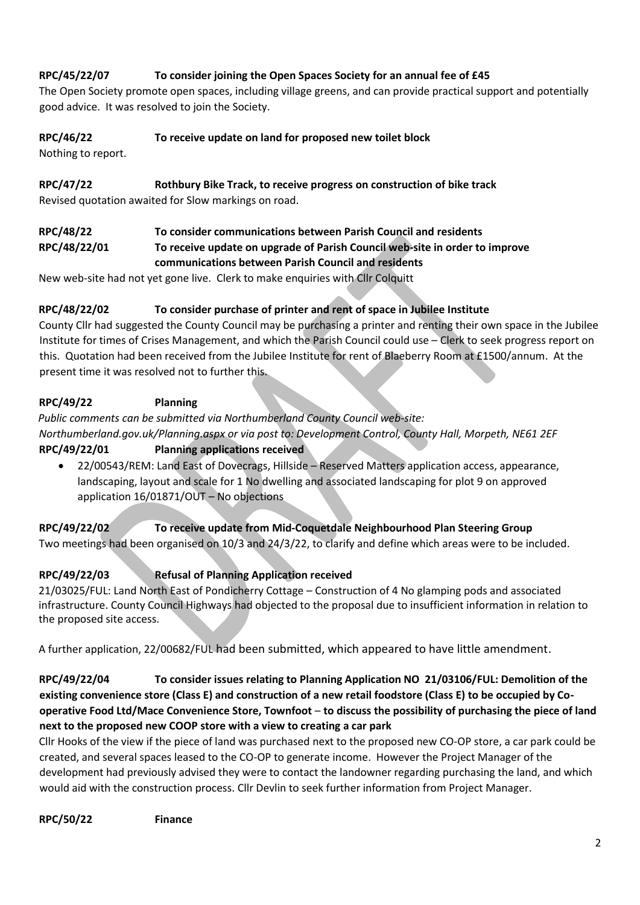# **RPC/45/22/07 To consider joining the Open Spaces Society for an annual fee of £45**

The Open Society promote open spaces, including village greens, and can provide practical support and potentially good advice. It was resolved to join the Society.

#### **RPC/46/22 To receive update on land for proposed new toilet block**

Nothing to report.

#### **RPC/47/22 Rothbury Bike Track, to receive progress on construction of bike track**

Revised quotation awaited for Slow markings on road.

## **RPC/48/22 To consider communications between Parish Council and residents RPC/48/22/01 To receive update on upgrade of Parish Council web-site in order to improve communications between Parish Council and residents**

New web-site had not yet gone live. Clerk to make enquiries with Cllr Colquitt

#### **RPC/48/22/02 To consider purchase of printer and rent of space in Jubilee Institute**

County Cllr had suggested the County Council may be purchasing a printer and renting their own space in the Jubilee Institute for times of Crises Management, and which the Parish Council could use – Clerk to seek progress report on this. Quotation had been received from the Jubilee Institute for rent of Blaeberry Room at £1500/annum. At the present time it was resolved not to further this.

#### **RPC/49/22 Planning**

*Public comments can be submitted via Northumberland County Council web-site:* 

*Northumberland.gov.uk/Planning.aspx or via post to: Development Control, County Hall, Morpeth, NE61 2EF*

#### **RPC/49/22/01 Planning applications received**

• 22/00543/REM: Land East of Dovecrags, Hillside – Reserved Matters application access, appearance, landscaping, layout and scale for 1 No dwelling and associated landscaping for plot 9 on approved application 16/01871/OUT – No objections

#### **RPC/49/22/02 To receive update from Mid-Coquetdale Neighbourhood Plan Steering Group** Two meetings had been organised on 10/3 and 24/3/22, to clarify and define which areas were to be included.

## **RPC/49/22/03 Refusal of Planning Application received**

21/03025/FUL: Land North East of Pondicherry Cottage – Construction of 4 No glamping pods and associated infrastructure. County Council Highways had objected to the proposal due to insufficient information in relation to the proposed site access.

A further application, 22/00682/FUL had been submitted, which appeared to have little amendment.

# **RPC/49/22/04 To consider issues relating to Planning Application NO 21/03106/FUL: Demolition of the existing convenience store (Class E) and construction of a new retail foodstore (Class E) to be occupied by Cooperative Food Ltd/Mace Convenience Store, Townfoot** – **to discuss the possibility of purchasing the piece of land next to the proposed new COOP store with a view to creating a car park**

Cllr Hooks of the view if the piece of land was purchased next to the proposed new CO-OP store, a car park could be created, and several spaces leased to the CO-OP to generate income. However the Project Manager of the development had previously advised they were to contact the landowner regarding purchasing the land, and which would aid with the construction process. Cllr Devlin to seek further information from Project Manager.

**RPC/50/22 Finance**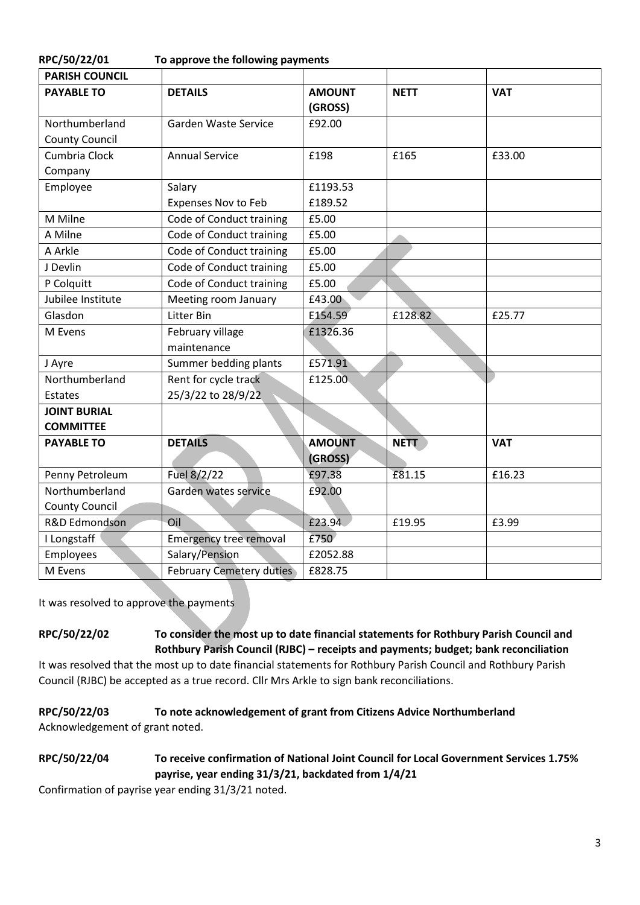| RPC/50/22/01                            | To approve the following payments          |                          |             |            |  |
|-----------------------------------------|--------------------------------------------|--------------------------|-------------|------------|--|
| <b>PARISH COUNCIL</b>                   |                                            |                          |             |            |  |
| <b>PAYABLE TO</b>                       | <b>DETAILS</b>                             | <b>AMOUNT</b><br>(GROSS) | <b>NETT</b> | <b>VAT</b> |  |
| Northumberland<br><b>County Council</b> | Garden Waste Service                       | £92.00                   |             |            |  |
| Cumbria Clock                           | <b>Annual Service</b>                      | £198                     | £165        | £33.00     |  |
| Company                                 |                                            |                          |             |            |  |
| Employee                                | Salary                                     | £1193.53                 |             |            |  |
|                                         | <b>Expenses Nov to Feb</b>                 | £189.52                  |             |            |  |
| M Milne                                 | Code of Conduct training                   | £5.00                    |             |            |  |
| A Milne                                 | Code of Conduct training                   | £5.00                    |             |            |  |
| A Arkle                                 | Code of Conduct training                   | £5.00                    |             |            |  |
| J Devlin                                | Code of Conduct training                   | £5.00                    |             |            |  |
| P Colquitt                              | Code of Conduct training                   | £5.00                    |             |            |  |
| Jubilee Institute                       | Meeting room January                       | £43.00                   |             |            |  |
| Glasdon                                 | Litter Bin                                 | E154.59                  | £128.82     | £25.77     |  |
| M Evens                                 | February village<br>maintenance            | £1326.36                 |             |            |  |
| J Ayre                                  | Summer bedding plants                      | £571.91                  |             |            |  |
| Northumberland<br>Estates               | Rent for cycle track<br>25/3/22 to 28/9/22 | £125.00                  |             |            |  |
| <b>JOINT BURIAL</b>                     |                                            |                          |             |            |  |
| <b>COMMITTEE</b>                        |                                            |                          |             |            |  |
| <b>PAYABLE TO</b>                       | <b>DETAILS</b>                             | <b>AMOUNT</b><br>(GROSS) | <b>NETT</b> | <b>VAT</b> |  |
| Penny Petroleum                         | Fuel 8/2/22                                | £97.38                   | £81.15      | £16.23     |  |
| Northumberland                          | Garden wates service                       | £92.00                   |             |            |  |
| <b>County Council</b>                   |                                            |                          |             |            |  |
| R&D Edmondson                           | Oil                                        | £23.94                   | £19.95      | £3.99      |  |
| I Longstaff                             | <b>Emergency tree removal</b>              | £750                     |             |            |  |
| Employees                               | Salary/Pension                             | £2052.88                 |             |            |  |
| M Evens                                 | <b>February Cemetery duties</b>            | £828.75                  |             |            |  |

It was resolved to approve the payments

**RPC/50/22/02 To consider the most up to date financial statements for Rothbury Parish Council and Rothbury Parish Council (RJBC) – receipts and payments; budget; bank reconciliation**

It was resolved that the most up to date financial statements for Rothbury Parish Council and Rothbury Parish Council (RJBC) be accepted as a true record. Cllr Mrs Arkle to sign bank reconciliations.

## **RPC/50/22/03 To note acknowledgement of grant from Citizens Advice Northumberland** Acknowledgement of grant noted.

## **RPC/50/22/04 To receive confirmation of National Joint Council for Local Government Services 1.75% payrise, year ending 31/3/21, backdated from 1/4/21**

Confirmation of payrise year ending 31/3/21 noted.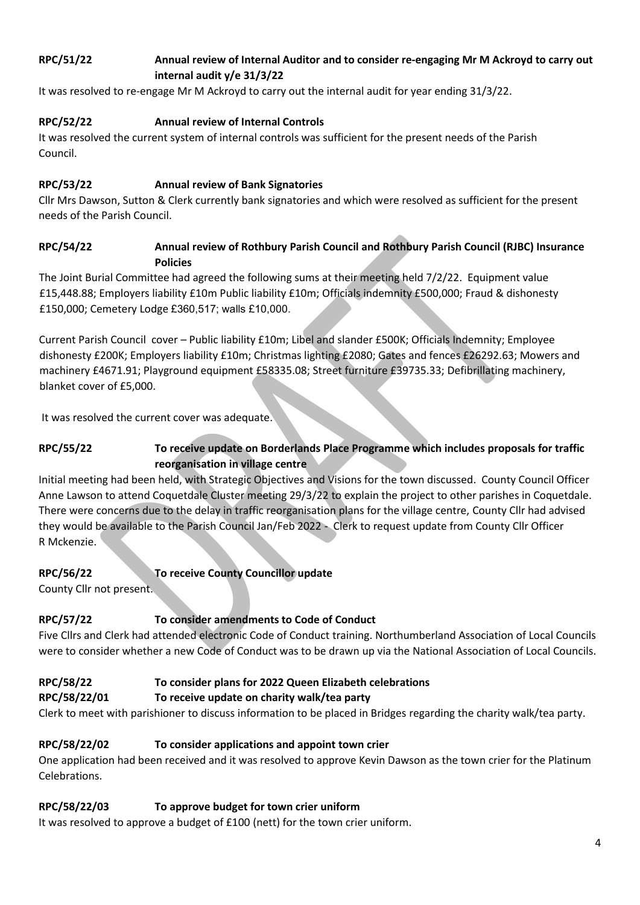# **RPC/51/22 Annual review of Internal Auditor and to consider re-engaging Mr M Ackroyd to carry out internal audit y/e 31/3/22**

It was resolved to re-engage Mr M Ackroyd to carry out the internal audit for year ending 31/3/22.

# **RPC/52/22 Annual review of Internal Controls**

It was resolved the current system of internal controls was sufficient for the present needs of the Parish Council.

## **RPC/53/22 Annual review of Bank Signatories**

Cllr Mrs Dawson, Sutton & Clerk currently bank signatories and which were resolved as sufficient for the present needs of the Parish Council.

## **RPC/54/22 Annual review of Rothbury Parish Council and Rothbury Parish Council (RJBC) Insurance Policies**

The Joint Burial Committee had agreed the following sums at their meeting held 7/2/22. Equipment value £15,448.88; Employers liability £10m Public liability £10m; Officials indemnity £500,000; Fraud & dishonesty £150,000; Cemetery Lodge £360,517; walls £10,000.

Current Parish Council cover – Public liability £10m; Libel and slander £500K; Officials Indemnity; Employee dishonesty £200K; Employers liability £10m; Christmas lighting £2080; Gates and fences £26292.63; Mowers and machinery £4671.91; Playground equipment £58335.08; Street furniture £39735.33; Defibrillating machinery, blanket cover of £5,000.

It was resolved the current cover was adequate.

# **RPC/55/22 To receive update on Borderlands Place Programme which includes proposals for traffic reorganisation in village centre**

Initial meeting had been held, with Strategic Objectives and Visions for the town discussed. County Council Officer Anne Lawson to attend Coquetdale Cluster meeting 29/3/22 to explain the project to other parishes in Coquetdale. There were concerns due to the delay in traffic reorganisation plans for the village centre, County Cllr had advised they would be available to the Parish Council Jan/Feb 2022 - Clerk to request update from County Cllr Officer R Mckenzie.

# **RPC/56/22 To receive County Councillor update**

County Cllr not present.

# **RPC/57/22 To consider amendments to Code of Conduct**

Five Cllrs and Clerk had attended electronic Code of Conduct training. Northumberland Association of Local Councils were to consider whether a new Code of Conduct was to be drawn up via the National Association of Local Councils.

## **RPC/58/22 To consider plans for 2022 Queen Elizabeth celebrations**

## **RPC/58/22/01 To receive update on charity walk/tea party**

Clerk to meet with parishioner to discuss information to be placed in Bridges regarding the charity walk/tea party.

## **RPC/58/22/02 To consider applications and appoint town crier**

One application had been received and it was resolved to approve Kevin Dawson as the town crier for the Platinum Celebrations.

## **RPC/58/22/03 To approve budget for town crier uniform**

It was resolved to approve a budget of £100 (nett) for the town crier uniform.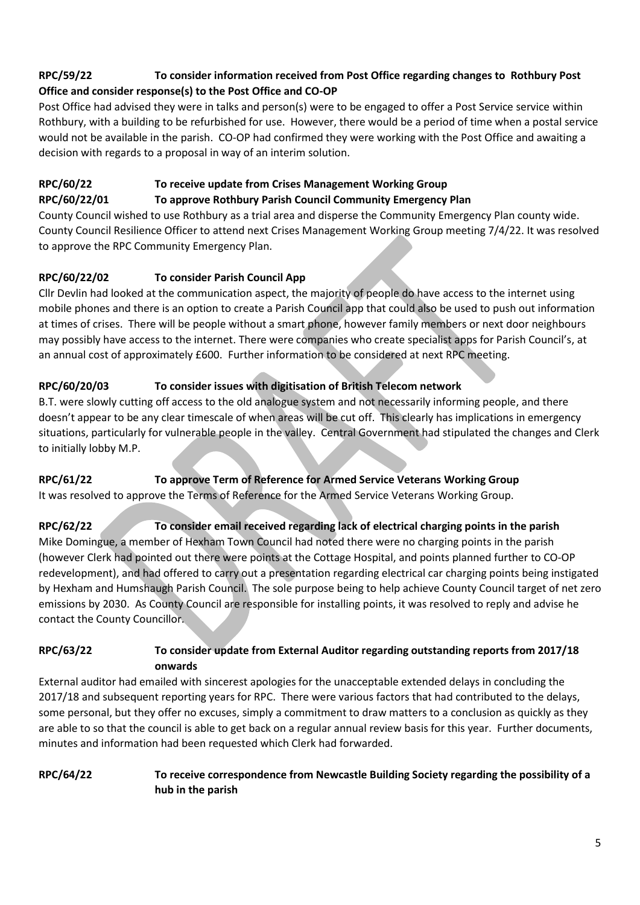# **RPC/59/22 To consider information received from Post Office regarding changes to Rothbury Post Office and consider response(s) to the Post Office and CO-OP**

Post Office had advised they were in talks and person(s) were to be engaged to offer a Post Service service within Rothbury, with a building to be refurbished for use. However, there would be a period of time when a postal service would not be available in the parish. CO-OP had confirmed they were working with the Post Office and awaiting a decision with regards to a proposal in way of an interim solution.

# **RPC/60/22 To receive update from Crises Management Working Group**

#### **RPC/60/22/01 To approve Rothbury Parish Council Community Emergency Plan**

County Council wished to use Rothbury as a trial area and disperse the Community Emergency Plan county wide. County Council Resilience Officer to attend next Crises Management Working Group meeting 7/4/22. It was resolved to approve the RPC Community Emergency Plan.

# **RPC/60/22/02 To consider Parish Council App**

Cllr Devlin had looked at the communication aspect, the majority of people do have access to the internet using mobile phones and there is an option to create a Parish Council app that could also be used to push out information at times of crises. There will be people without a smart phone, however family members or next door neighbours may possibly have access to the internet. There were companies who create specialist apps for Parish Council's, at an annual cost of approximately £600. Further information to be considered at next RPC meeting.

# **RPC/60/20/03 To consider issues with digitisation of British Telecom network**

B.T. were slowly cutting off access to the old analogue system and not necessarily informing people, and there doesn't appear to be any clear timescale of when areas will be cut off. This clearly has implications in emergency situations, particularly for vulnerable people in the valley. Central Government had stipulated the changes and Clerk to initially lobby M.P.

## **RPC/61/22 To approve Term of Reference for Armed Service Veterans Working Group**

It was resolved to approve the Terms of Reference for the Armed Service Veterans Working Group.

## **RPC/62/22 To consider email received regarding lack of electrical charging points in the parish** Mike Domingue, a member of Hexham Town Council had noted there were no charging points in the parish (however Clerk had pointed out there were points at the Cottage Hospital, and points planned further to CO-OP redevelopment), and had offered to carry out a presentation regarding electrical car charging points being instigated by Hexham and Humshaugh Parish Council. The sole purpose being to help achieve County Council target of net zero emissions by 2030. As County Council are responsible for installing points, it was resolved to reply and advise he contact the County Councillor.

## **RPC/63/22 To consider update from External Auditor regarding outstanding reports from 2017/18 onwards**

External auditor had emailed with sincerest apologies for the unacceptable extended delays in concluding the 2017/18 and subsequent reporting years for RPC. There were various factors that had contributed to the delays, some personal, but they offer no excuses, simply a commitment to draw matters to a conclusion as quickly as they are able to so that the council is able to get back on a regular annual review basis for this year. Further documents, minutes and information had been requested which Clerk had forwarded.

#### **RPC/64/22 To receive correspondence from Newcastle Building Society regarding the possibility of a hub in the parish**